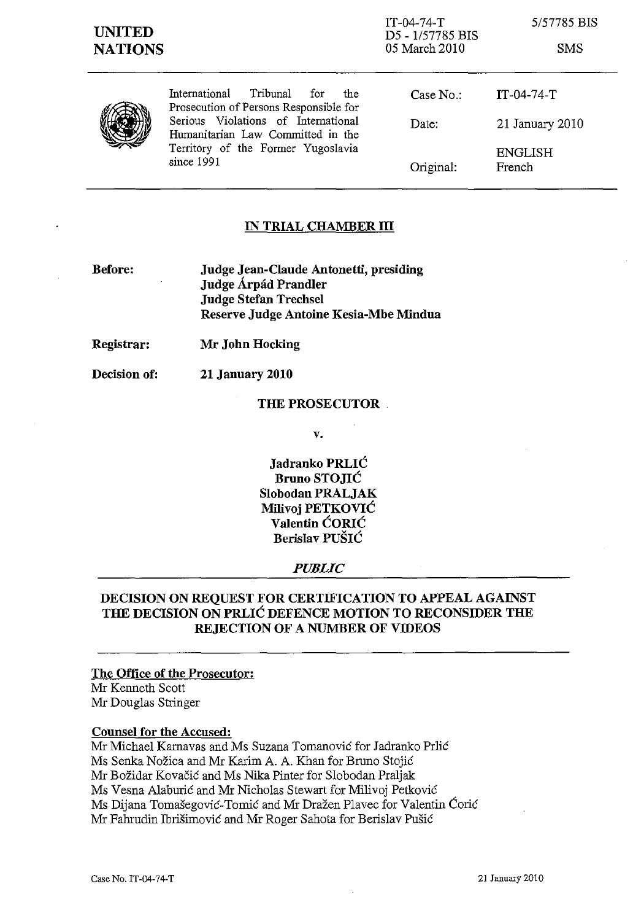IT-04-74-T D5 - 1/57785 BIS 05 March 2010

5/57785 BIS

SMS



International Tribunal for the Prosecution of Persons Responsible for Serious Violations of International Humanitarian Law Committed in the Territory of the Former Yugoslavia since 1991

Case No.: Date: Original: IT-04-74-T 21 January 2010 ENGLISH French

# **IN TRIAL CHAMBER III**

- **Before: Judge Jean-Claude Antonetti, presiding Judge Arpiid Prandler Judge Stefan Trechsel Reserve Judge Antoine Kesia-Mbe Mindua**
- **Registrar: Mr John Hocking**

**Decision of: 21 January 2010** 

### **THE PROSECUTOR**

**v.** 

**Jadranko PRLIC Bruno STOJIC Slobodan PRALJAK Milivoj PETKOVIC Valentin CORlC Berislav PUSIC** 

#### *PUBLIC*

# **DECISION ON REQUEST FOR CERTIFICATION TO APPEAL AGAINST THE DECISION ON PRLIC DEFENCE MOTION TO RECONSIDER THE REJECTION OF A NUMBER OF VIDEOS**

### **The Office of the Prosecutor:**  Mr Kenneth Scott Mr Douglas Stringer

#### **Counsel for the Accused:**

Mr Michael Karnavas and Ms Suzana Tomanović for Jadranko Prlić Ms Senka Nožica and Mr Karim A. A. Khan for Bruno Stojić Mr Božidar Kovačić and Ms Nika Pinter for Slobodan Praljak Ms Vesna Alaburić and Mr Nicholas Stewart for Milivoj Petković Ms Dijana Tomašegović-Tomić and Mr Dražen Plavec for Valentin Ćorić Mr Fahrudin Ibrišimović and Mr Roger Sahota for Berislav Pušić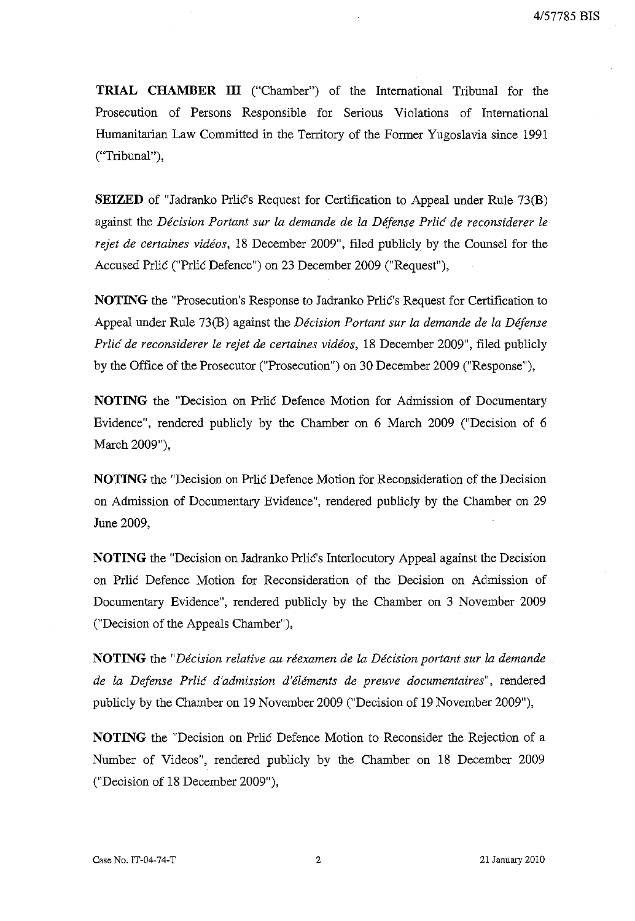**TRIAL CHAMBER III** ("Chamber") of the International Tribunal for the Prosecution of Persons Responsible for Serious Violations of International Humanitarian Law Committed in the Territory of the Former Yugoslavia since 1991 ("Tribunal"),

**SEIZED** of "Jadranko Prlic's Request for Certification to Appeal under **Rule** 73(B) against the *Decision Portant sur la demande de la Dejense Prlic de reconsiderer le rejet de certaines videos,* 18 December 2009", filed publicly by the Counsel for the Accused Prlic ("Prlic Defence") on 23 December 2009 ("Request"),

**NOTING** the "Prosecution's Response to Jadranko Prlic's Request for Certification to Appeal under Rule 73(B) against the *Decision Portant sur la demande de la Dejense Prlic de reconsiderer le rejet de certaines videos,* 18 December 2009", filed publicly by the Office of the Prosecutor ("Prosecution") on 30 December 2009 ("Response"),

**NOTING** the "Decision on Prlic Defence Motion for Admission of Documentary Evidence", rendered publicly by the Chamber on 6 March 2009 ("Decision of 6 March 2009"),

**NOTING** the "Decision on Prlic Defence Motion for Reconsideration of the Decision on Admission of Documentary Evidence", rendered publicly by the Chamber on 29 June 2009,

**NOTING** the "Decision on Jadranko Prlic's Interlocutory Appeal against the Decision on Prlic Defence Motion for Reconsideration of the Decision on Admission of Documentary Evidence", rendered publicly by the Chamber on 3 November 2009 ("Decision of the Appeals Chamber"),

**NOTING** the *"Decision relative au reexamen de la Decision portant sur la demande de la Dejense Prlic d'admission d'elements de preuve documentaires",* rendered publicly by the Chamber on 19 November 2009 ("Decision of 19 November 2009"),

**NOTING** the "Decision on Prlic Defence Motion to Reconsider the Rejection of a Number of Videos", rendered publicly by the Chamber on 18 December 2009 ("Decision of 18 December 2009"),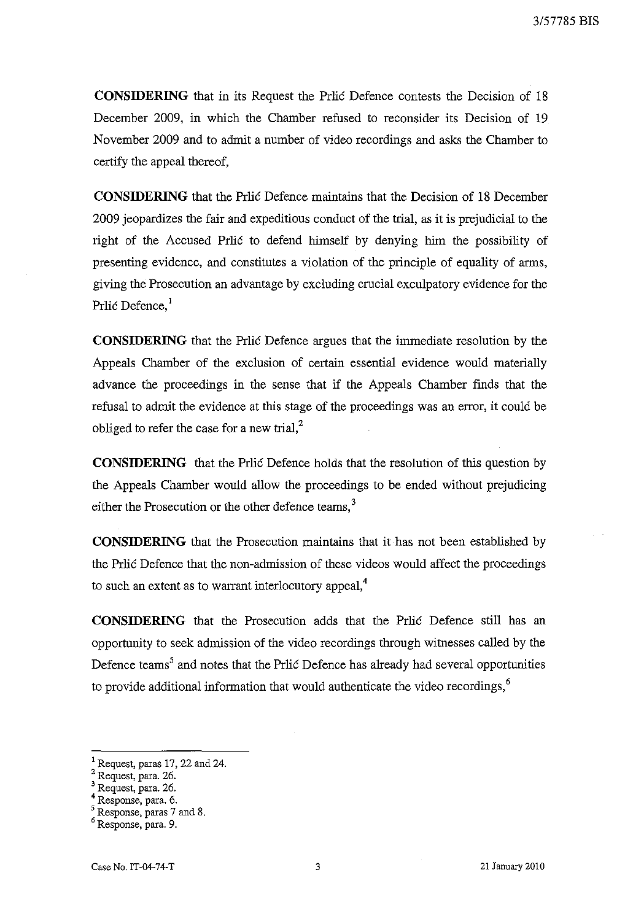**CONSIDERING** that in its Request the Prlic Defence contests the Decision of 18 December 2009, in which the Chamber refused to reconsider its Decision of 19 November 2009 and to admit a number of video recordings and asks the Chamber to certify the appeal thereof,

**CONSIDERING** that the Prlic Defence maintains that the Decision of 18 December 2009 jeopardizes the fair and expeditious conduct of the trial, as it is prejudicial to the right of the Accused Prlic to defend himself by denying him the possibility of presenting evidence, and constitutes a violation of the principle of equality of arms, giving the Prosecution an advantage by excluding crucial exculpatory evidence for the Prlic Defence.<sup>1</sup>

**CONSIDERING** that the Prlic Defence argues that the immediate resolution by the Appeals Chamber of the exclusion of certain essential evidence would materially advance the proceedings in the sense that if the Appeals Chamber finds that the refusal to admit the evidence at this stage of the proceedings was an error, it could be obliged to refer the case for a new trial, $<sup>2</sup>$ </sup>

**CONSIDERING** that the Prlic Defence holds that the resolution of this question by the Appeals Chamber would allow the proceedings to be ended without prejudicing either the Prosecution or the other defence teams, $3$ 

**CONSIDERING** that the Prosecution maintains that it has not been established by the Prlic Defence that the non-admission of these videos would affect the proceedings to such an extent as to warrant interlocutory appeal,<sup>4</sup>

**CONSIDERING** that the Prosecution adds that the Prlic Defence still has an opportunity to seek admission of the video recordings through witnesses called by the Defence teams<sup>5</sup> and notes that the Prlic Defence has already had several opportunities to provide additional information that would authenticate the video recordings, $6\overline{6}$ 

<sup>&</sup>lt;sup>1</sup> Request, paras 17, 22 and 24.

<sup>2</sup> Request, para. 26.

<sup>&</sup>lt;sup>3</sup> Request, para. 26.

<sup>4</sup> Response, para. 6.

<sup>5</sup> Response, paras 7 and 8.

<sup>6</sup> Response, para. 9.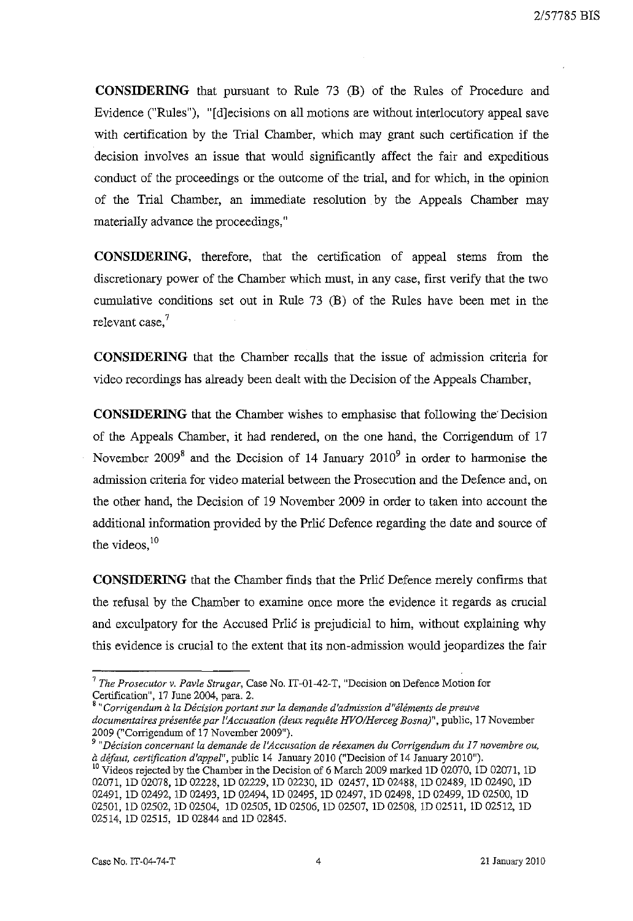**CONSIDERING** that pursuant to Rule 73 (B) of the Rules of Procedure and Evidence ("Rules"), "[dlecisions on all motions are without interlocutory appeal save with certification by the Trial Chamber, which may grant such certification if the decision involves an issue that would significantly affect the fair and expeditious conduct of the proceedings or the outcome of the trial, and for which, in the opinion of the Trial Chamber, an immediate resolution by the Appeals Chamber may materially advance the proceedings,"

**CONSIDERING,** therefore, that the certification of appeal stems from the discretionary power of the Chamber which must, in any case, first verify that the two cumulative conditions set out in Rule 73 (B) of the Rules have been met in the relevant case, $7$ 

**CONSIDERING** that the Chamber recalls that the issue of admission criteria for video recordings has already been dealt with the Decision of the Appeals Chamber,

**CONSIDERING** that the Chamber wishes to emphasise that following the'Decision of the Appeals Chamber, it had rendered, on the one hand, the Corrigendum of 17 November  $2009<sup>8</sup>$  and the Decision of 14 January  $2010<sup>9</sup>$  in order to harmonise the admission criteria for video material between the Prosecution and the Defence and, on the other hand, the Decision of 19 November 2009 in order to taken into account the additional information provided by the Prlic Defence regarding the date and source of the videos,  $10$ 

**CONSIDERING** that the Chamber finds that the Prlic Defence merely confirms that the refusal by the Chamber to examine once more the evidence it regards as crucial and exculpatory for the Accused Prlic is prejudicial to him, without explaining why this evidence is crucial to the extent that its non-admission would jeopardizes the fair

<sup>&</sup>lt;sup>7</sup> The Prosecutor v. Pavle Strugar, Case No. IT-01-42-T, "Decision on Defence Motion for Certification", 17 June 2004, para, 2,

<sup>&</sup>lt;sup>8</sup> "Corrigendum à la Décision portant sur la demande d'admission d"éléments de preuve documentaires présentée par l'Accusation (deux requête HVO/Herceg Bosna)", public, 17 November 2009 ("Corrigendum of 17 November 2009"),

*<sup>9 &</sup>quot;Decision concernant la demande de ['Accusation de reexamen du Corrigendum du* **17** *novembre DU, a de/aut, certification d'appel",* public 14 January 2010 ("Decision of 14 January 2010"), <sup>10</sup> Videos rejected by the Chamber in the Decision of 6 March 2009 marked 1D 02070, 1D 02071, 1D 02071, ID 02078, ID 02228, ID 02229, ID 02230, ID 02457, ID 02488, ID 02489, ID 02490, ID 02491, ID 02492, ID 02493, ID 02494, ID 02495, ID 02497, ID 02498, ID 02499, ID 02500, ID 02501, ID 02502, ID 02504, ID 02505, ID 02506, ID 02507, ID 02508, ID 02511, ID 02512, ID 02514, ID 02515, ID 02844 and ID 02845,